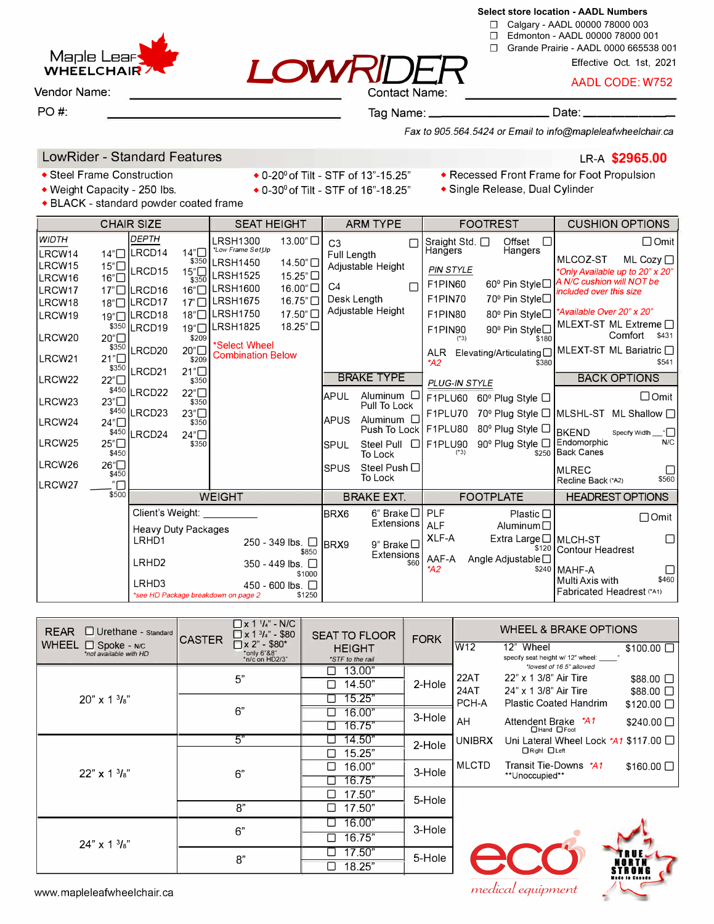

☐ Calgary - AADL 00000 78000 003

- ☐ Edmonton AADL 00000 78000 001
- ☐ Grande Prairie AADL 0000 665538 001

**LOWRIDER** Effective Oct. 1st, 2021

AADL CODE: W752

**Maple Lear WHEELCHAIR.** 

Vendor Name: Contact Name:

### PO#: Tag Name: \_\_\_\_\_\_\_\_\_ Date: \_\_\_\_\_\_ \_

*Fax to 905.564.5424 or Email to info@mapleleafwheelchair.ca*

# LowRider - Standard Features LR-A **\$2965.00**

• BLACK - standard powder coated frame

- 
- 
- Weight Capacity 250 lbs. 0-30 $^{\circ}$  of Tilt STF of 16"-18.25"
- Steel Frame Construction 0-20<sup>°</sup> of Tilt STF of 13<sup>"</sup>-15.25" Recessed Front Frame for Foot Propulsion<br>• Weight Capacity 250 lbs. 0-30° of Tilt STF of 16"-18.25" Single Release, Dual Cylinder
	-

| <b>CHAIR SIZE</b>                                                                  |                                                          |                                                                                                                 | <b>SEAT HEIGHT</b>                       |                                                                                                                                                      | <b>ARM TYPE</b>                                                         |                                                 |                                                                 | <b>FOOTREST</b>                                                                                                   | <b>CUSHION OPTIONS</b>                                                                                                                                                            |                                                                                               |                                                                                                                                          |
|------------------------------------------------------------------------------------|----------------------------------------------------------|-----------------------------------------------------------------------------------------------------------------|------------------------------------------|------------------------------------------------------------------------------------------------------------------------------------------------------|-------------------------------------------------------------------------|-------------------------------------------------|-----------------------------------------------------------------|-------------------------------------------------------------------------------------------------------------------|-----------------------------------------------------------------------------------------------------------------------------------------------------------------------------------|-----------------------------------------------------------------------------------------------|------------------------------------------------------------------------------------------------------------------------------------------|
| <b>WIDTH</b><br>LRCW14<br>LRCW15<br>LRCW16<br>LRCW17<br>LRCW18<br>LRCW19<br>LRCW20 | 14 <sup>n</sup><br>15"□<br>16"<br>\$350<br>20"□<br>\$350 | DEPTH<br>LRCD <sub>14</sub><br>LRCD15<br>$17$ " $\Box$ LRCD16<br>18"□ LRCD17<br>19"□ LRCD18<br>LRCD19<br>LRCD20 | $14^n$<br>15"□<br>\$350<br>\$209<br>20"□ | LRSH1300<br>*Low Frame SetUp<br>\$350 LRSH1450<br><b>LRSH1525</b><br>16"□ LRSH1600<br>17"□LRSH1675<br>18"□LRSH1750<br>19"□ LRSH1825<br>*Select Wheel | 13.00"□<br>14.50"<br>15.25"□<br>16.00"□<br>16.75"□<br>17.50"<br>18.25"□ | C <sub>3</sub><br>Full Length<br>C <sub>4</sub> | Г<br>Adjustable Height<br>г<br>Desk Length<br>Adjustable Height | Sraight Std. □<br>Hangers<br><b>PIN STYLE</b><br>F1PIN60<br>F1PIN70<br>F1PIN80<br>F1PIN90<br>$(*3)$<br><b>ALR</b> | Offset<br>П<br>Hangers<br>60 <sup>°</sup> Pin Style□<br>70 <sup>°</sup> Pin Style□<br>80 <sup>°</sup> Pin Style□<br>90 <sup>°</sup> Pin Style□<br>\$180<br>Elevating/Articulating | MLCOZ-ST<br>A N/C cushion will NOT be<br>included over this size<br>*Available Over 20" x 20" | $\Box$ Omit<br>ML Cozy □<br>*Only Available up to 20" x 20"<br>MLEXT-ST ML Extreme $\Box$<br>Comfort<br>\$431<br>MLEXT-ST ML Bariatric □ |
| LRCW21                                                                             | 21"□<br>\$350                                            | LRCD21                                                                                                          | \$209<br>21"□                            | <b>Combination Below</b>                                                                                                                             |                                                                         |                                                 |                                                                 | $*$ A2                                                                                                            | \$380                                                                                                                                                                             |                                                                                               | \$541                                                                                                                                    |
| LRCW22                                                                             | 22"□                                                     |                                                                                                                 | \$350                                    |                                                                                                                                                      |                                                                         |                                                 | <b>BRAKE TYPE</b>                                               | PLUG-IN STYLE                                                                                                     |                                                                                                                                                                                   |                                                                                               | <b>BACK OPTIONS</b>                                                                                                                      |
| LRCW23                                                                             | 23"□                                                     | \$450 LRCD22                                                                                                    | 22"□<br>\$350                            |                                                                                                                                                      |                                                                         | <b>APUL</b>                                     | Aluminum $\square$<br>Pull To Lock                              |                                                                                                                   | F1PLU60 60 $^{\circ}$ Plug Style $\Box$                                                                                                                                           |                                                                                               | $\Box$ Omit                                                                                                                              |
| LRCW24                                                                             |                                                          | \$450 LRCD23                                                                                                    | 23"□<br>\$350                            |                                                                                                                                                      |                                                                         | <b>IAPUS</b>                                    | Aluminum $\square$                                              | F1PLU70                                                                                                           | 70° Plug Style □ MLSHL-ST ML Shallow □                                                                                                                                            |                                                                                               |                                                                                                                                          |
|                                                                                    | 24"□<br>\$450                                            | LRCD24                                                                                                          | $24n\Box$                                |                                                                                                                                                      |                                                                         |                                                 | Push To Lock I                                                  | F1PLU80                                                                                                           | 80 <sup>°</sup> Plug Style □                                                                                                                                                      | <b>BKEND</b>                                                                                  | Specify Width                                                                                                                            |
| LRCW25                                                                             | 25"□<br>\$450                                            |                                                                                                                 | \$350                                    |                                                                                                                                                      |                                                                         | <b>SPUL</b>                                     | Steel Pull<br>$\Box$<br>To Lock                                 | F1PLU90<br>$(*3)$                                                                                                 | 90 <sup>°</sup> Plug Style □<br>\$250                                                                                                                                             | Endomorphic<br><b>Back Canes</b>                                                              | N/C                                                                                                                                      |
| LRCW26                                                                             | 26"□<br>\$450                                            |                                                                                                                 |                                          |                                                                                                                                                      |                                                                         | <b>SPUS</b>                                     | Steel Push $\Box$<br>To Lock                                    |                                                                                                                   |                                                                                                                                                                                   | <b>MLREC</b><br>Recline Back (*A2)                                                            | \$560                                                                                                                                    |
| LRCW27                                                                             | ." $\Box$<br>\$500                                       | <b>WEIGHT</b>                                                                                                   |                                          |                                                                                                                                                      | <b>BRAKE EXT.</b>                                                       |                                                 | <b>FOOTPLATE</b>                                                |                                                                                                                   |                                                                                                                                                                                   | <b>HEADREST OPTIONS</b>                                                                       |                                                                                                                                          |
|                                                                                    |                                                          | Client's Weight:                                                                                                |                                          |                                                                                                                                                      | <b>BRX6</b>                                                             | $6$ " Brake $\Box$                              | <b>PLF</b>                                                      | Plastic $\Box$                                                                                                    |                                                                                                                                                                                   |                                                                                               |                                                                                                                                          |
|                                                                                    |                                                          | <b>Heavy Duty Packages</b>                                                                                      |                                          |                                                                                                                                                      |                                                                         | <b>Extensions</b>                               | <b>ALF</b>                                                      | Aluminum $\Box$                                                                                                   |                                                                                                                                                                                   | $\Box$ Omit                                                                                   |                                                                                                                                          |
|                                                                                    |                                                          | LRHD1                                                                                                           |                                          |                                                                                                                                                      | 250 - 349 lbs. □<br>\$850                                               | BRX9                                            | 9" Brake □<br>Extensions                                        | XLF-A                                                                                                             | Extra Large □   MLCH-ST<br>\$120                                                                                                                                                  | <b>Contour Headrest</b>                                                                       |                                                                                                                                          |
|                                                                                    |                                                          | LRHD <sub>2</sub>                                                                                               |                                          |                                                                                                                                                      | 350 - 449 lbs. □<br>\$1000                                              |                                                 | \$60                                                            | AAF-A<br>*A2                                                                                                      | Angle Adjustable □<br>\$240                                                                                                                                                       | l MAHF-A                                                                                      |                                                                                                                                          |
|                                                                                    |                                                          | LRHD3                                                                                                           |                                          | *see HD Package breakdown on page 2                                                                                                                  | 450 - 600 lbs. $\Box$<br>\$1250                                         |                                                 |                                                                 |                                                                                                                   |                                                                                                                                                                                   | Multi Axis with<br>Fabricated Headrest (*A1)                                                  | \$460                                                                                                                                    |

| $\Box$ Urethane - Standard<br><b>REAR</b>                    | $\Box$ x 1 $\frac{1}{4}$ " - N/C<br>$\Box$ x 1 $\frac{3}{4}$ " - \$80<br><b>CASTER</b> | <b>SEAT TO FLOOR</b> | <b>FORK</b> | <b>WHEEL &amp; BRAKE OPTIONS</b> |                                                               |                  |  |
|--------------------------------------------------------------|----------------------------------------------------------------------------------------|----------------------|-------------|----------------------------------|---------------------------------------------------------------|------------------|--|
| <b>WHEEL</b><br>$\Box$ Spoke - N/C<br>*not available with HD | $\Box$ x 2" - \$80*<br>*only 6"&8"<br>*n/c on HD2/3"                                   | <b>HEIGHT</b>        |             | W <sub>12</sub>                  | 12" Wheel                                                     | \$100.00 □       |  |
|                                                              |                                                                                        | *STF to the rail     |             |                                  | specify seat height w/ 12" wheel:<br>*lowest of 16.5" allowed |                  |  |
|                                                              | 5"                                                                                     | 13.00"               | 2-Hole      | 22AT                             | 22" x 1 3/8" Air Tire                                         | \$88.00 □        |  |
|                                                              |                                                                                        | 14.50"<br>Ш          |             | 24AT                             | 24" x 1 3/8" Air Tire                                         | $$88.00$ $\Box$  |  |
| $20''$ x 1 $\frac{3}{8}$ "                                   |                                                                                        | 15.25"               |             | PCH-A                            | <b>Plastic Coated Handrim</b>                                 | $$120.00$ $\Box$ |  |
|                                                              | 6"                                                                                     | 16.00"               | 3-Hole      |                                  |                                                               |                  |  |
|                                                              |                                                                                        | 16.75"               |             | AH                               | Attendent Brake *41<br>□Hand □Foot                            | \$240.00 □       |  |
|                                                              | 5"                                                                                     | 14.50"               | 2-Hole      | <b>UNIBRX</b>                    | Uni Lateral Wheel Lock $*$ A1 \$117.00 $\Box$                 |                  |  |
|                                                              |                                                                                        | 15.25"               |             |                                  | □ Right □ Left                                                |                  |  |
| $22'' \times 13'_{8}$                                        | 6"                                                                                     | 16.00"<br>П          | 3-Hole      | <b>MLCTD</b>                     | Transit Tie-Downs *A1                                         | $$160.00$ $\Box$ |  |
|                                                              |                                                                                        | 16.75"               |             |                                  | **Unoccupied**                                                |                  |  |
|                                                              |                                                                                        | 17.50"               | 5-Hole      |                                  |                                                               |                  |  |
|                                                              | 8"                                                                                     | 17.50"<br>П          |             |                                  |                                                               |                  |  |
|                                                              |                                                                                        | 16.00"               | 3-Hole      |                                  |                                                               |                  |  |
| $24''$ x 1 $\frac{3}{8}$ "                                   | 6"                                                                                     | 16.75"               |             |                                  |                                                               |                  |  |
|                                                              | 8"                                                                                     | 17.50"               | 5-Hole      |                                  |                                                               |                  |  |
|                                                              |                                                                                        | 18.25"<br>$\perp$    |             |                                  |                                                               |                  |  |



medical equipment

**STIINI**